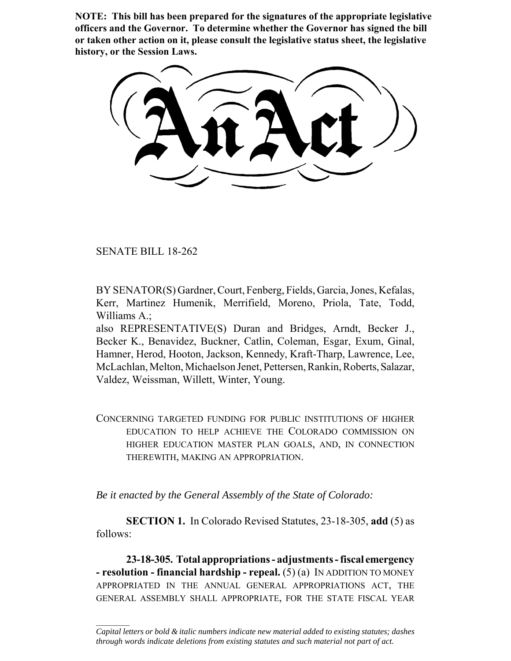**NOTE: This bill has been prepared for the signatures of the appropriate legislative officers and the Governor. To determine whether the Governor has signed the bill or taken other action on it, please consult the legislative status sheet, the legislative history, or the Session Laws.**

SENATE BILL 18-262

 $\frac{1}{2}$ 

BY SENATOR(S) Gardner, Court, Fenberg, Fields, Garcia, Jones, Kefalas, Kerr, Martinez Humenik, Merrifield, Moreno, Priola, Tate, Todd, Williams A.;

also REPRESENTATIVE(S) Duran and Bridges, Arndt, Becker J., Becker K., Benavidez, Buckner, Catlin, Coleman, Esgar, Exum, Ginal, Hamner, Herod, Hooton, Jackson, Kennedy, Kraft-Tharp, Lawrence, Lee, McLachlan, Melton, Michaelson Jenet, Pettersen, Rankin, Roberts, Salazar, Valdez, Weissman, Willett, Winter, Young.

CONCERNING TARGETED FUNDING FOR PUBLIC INSTITUTIONS OF HIGHER EDUCATION TO HELP ACHIEVE THE COLORADO COMMISSION ON HIGHER EDUCATION MASTER PLAN GOALS, AND, IN CONNECTION THEREWITH, MAKING AN APPROPRIATION.

*Be it enacted by the General Assembly of the State of Colorado:*

**SECTION 1.** In Colorado Revised Statutes, 23-18-305, **add** (5) as follows:

**23-18-305. Total appropriations - adjustments - fiscal emergency - resolution - financial hardship - repeal.** (5) (a) IN ADDITION TO MONEY APPROPRIATED IN THE ANNUAL GENERAL APPROPRIATIONS ACT, THE GENERAL ASSEMBLY SHALL APPROPRIATE, FOR THE STATE FISCAL YEAR

*Capital letters or bold & italic numbers indicate new material added to existing statutes; dashes through words indicate deletions from existing statutes and such material not part of act.*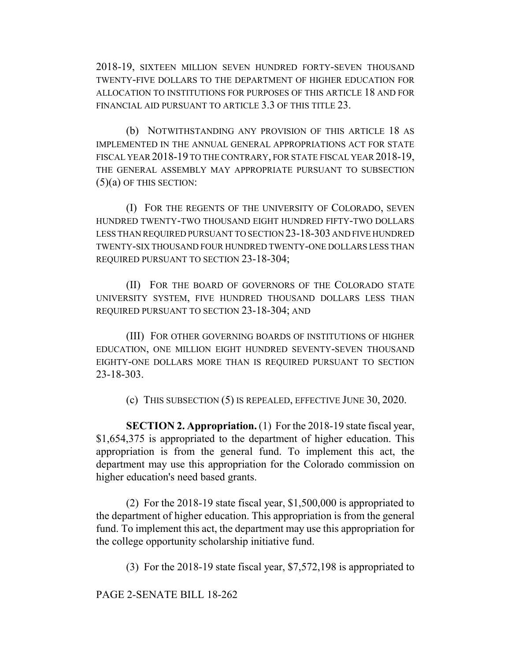2018-19, SIXTEEN MILLION SEVEN HUNDRED FORTY-SEVEN THOUSAND TWENTY-FIVE DOLLARS TO THE DEPARTMENT OF HIGHER EDUCATION FOR ALLOCATION TO INSTITUTIONS FOR PURPOSES OF THIS ARTICLE 18 AND FOR FINANCIAL AID PURSUANT TO ARTICLE 3.3 OF THIS TITLE 23.

(b) NOTWITHSTANDING ANY PROVISION OF THIS ARTICLE 18 AS IMPLEMENTED IN THE ANNUAL GENERAL APPROPRIATIONS ACT FOR STATE FISCAL YEAR 2018-19 TO THE CONTRARY, FOR STATE FISCAL YEAR 2018-19, THE GENERAL ASSEMBLY MAY APPROPRIATE PURSUANT TO SUBSECTION  $(5)(a)$  OF THIS SECTION:

(I) FOR THE REGENTS OF THE UNIVERSITY OF COLORADO, SEVEN HUNDRED TWENTY-TWO THOUSAND EIGHT HUNDRED FIFTY-TWO DOLLARS LESS THAN REQUIRED PURSUANT TO SECTION 23-18-303 AND FIVE HUNDRED TWENTY-SIX THOUSAND FOUR HUNDRED TWENTY-ONE DOLLARS LESS THAN REQUIRED PURSUANT TO SECTION 23-18-304;

(II) FOR THE BOARD OF GOVERNORS OF THE COLORADO STATE UNIVERSITY SYSTEM, FIVE HUNDRED THOUSAND DOLLARS LESS THAN REQUIRED PURSUANT TO SECTION 23-18-304; AND

(III) FOR OTHER GOVERNING BOARDS OF INSTITUTIONS OF HIGHER EDUCATION, ONE MILLION EIGHT HUNDRED SEVENTY-SEVEN THOUSAND EIGHTY-ONE DOLLARS MORE THAN IS REQUIRED PURSUANT TO SECTION 23-18-303.

(c) THIS SUBSECTION (5) IS REPEALED, EFFECTIVE JUNE 30, 2020.

**SECTION 2. Appropriation.** (1) For the 2018-19 state fiscal year, \$1,654,375 is appropriated to the department of higher education. This appropriation is from the general fund. To implement this act, the department may use this appropriation for the Colorado commission on higher education's need based grants.

(2) For the 2018-19 state fiscal year, \$1,500,000 is appropriated to the department of higher education. This appropriation is from the general fund. To implement this act, the department may use this appropriation for the college opportunity scholarship initiative fund.

(3) For the 2018-19 state fiscal year, \$7,572,198 is appropriated to

PAGE 2-SENATE BILL 18-262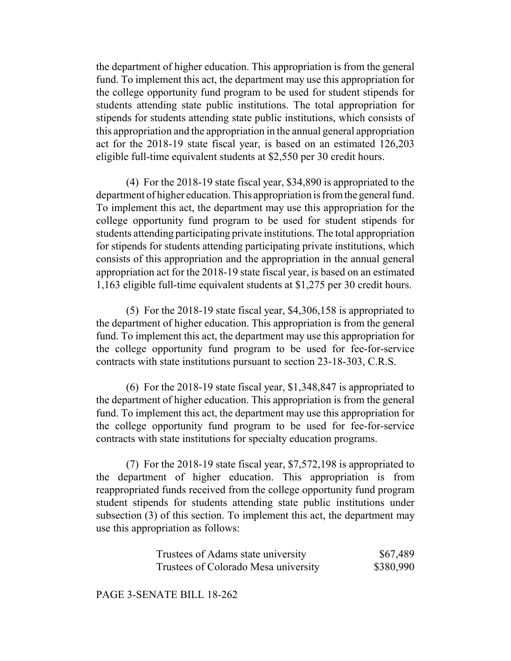the department of higher education. This appropriation is from the general fund. To implement this act, the department may use this appropriation for the college opportunity fund program to be used for student stipends for students attending state public institutions. The total appropriation for stipends for students attending state public institutions, which consists of this appropriation and the appropriation in the annual general appropriation act for the 2018-19 state fiscal year, is based on an estimated 126,203 eligible full-time equivalent students at \$2,550 per 30 credit hours.

(4) For the 2018-19 state fiscal year, \$34,890 is appropriated to the department of higher education. This appropriation is from the general fund. To implement this act, the department may use this appropriation for the college opportunity fund program to be used for student stipends for students attending participating private institutions. The total appropriation for stipends for students attending participating private institutions, which consists of this appropriation and the appropriation in the annual general appropriation act for the 2018-19 state fiscal year, is based on an estimated 1,163 eligible full-time equivalent students at \$1,275 per 30 credit hours.

(5) For the 2018-19 state fiscal year, \$4,306,158 is appropriated to the department of higher education. This appropriation is from the general fund. To implement this act, the department may use this appropriation for the college opportunity fund program to be used for fee-for-service contracts with state institutions pursuant to section 23-18-303, C.R.S.

(6) For the 2018-19 state fiscal year, \$1,348,847 is appropriated to the department of higher education. This appropriation is from the general fund. To implement this act, the department may use this appropriation for the college opportunity fund program to be used for fee-for-service contracts with state institutions for specialty education programs.

(7) For the 2018-19 state fiscal year, \$7,572,198 is appropriated to the department of higher education. This appropriation is from reappropriated funds received from the college opportunity fund program student stipends for students attending state public institutions under subsection (3) of this section. To implement this act, the department may use this appropriation as follows:

| Trustees of Adams state university   | \$67,489  |
|--------------------------------------|-----------|
| Trustees of Colorado Mesa university | \$380,990 |

PAGE 3-SENATE BILL 18-262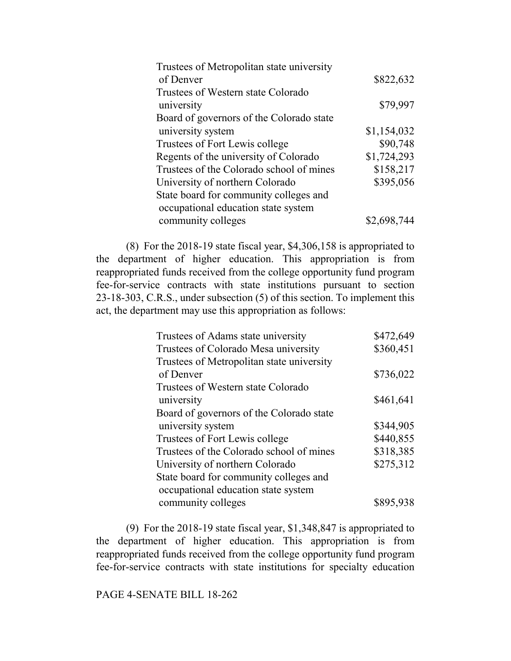| Trustees of Metropolitan state university |             |
|-------------------------------------------|-------------|
| of Denver                                 | \$822,632   |
| Trustees of Western state Colorado        |             |
| university                                | \$79,997    |
| Board of governors of the Colorado state  |             |
| university system                         | \$1,154,032 |
| Trustees of Fort Lewis college            | \$90,748    |
| Regents of the university of Colorado     | \$1,724,293 |
| Trustees of the Colorado school of mines  | \$158,217   |
| University of northern Colorado           | \$395,056   |
| State board for community colleges and    |             |
| occupational education state system       |             |
| community colleges                        | \$2,698,744 |

(8) For the 2018-19 state fiscal year, \$4,306,158 is appropriated to the department of higher education. This appropriation is from reappropriated funds received from the college opportunity fund program fee-for-service contracts with state institutions pursuant to section 23-18-303, C.R.S., under subsection (5) of this section. To implement this act, the department may use this appropriation as follows:

| \$472,649 |
|-----------|
| \$360,451 |
|           |
| \$736,022 |
|           |
| \$461,641 |
|           |
| \$344,905 |
| \$440,855 |
| \$318,385 |
| \$275,312 |
|           |
|           |
| \$895,938 |
|           |

(9) For the 2018-19 state fiscal year, \$1,348,847 is appropriated to the department of higher education. This appropriation is from reappropriated funds received from the college opportunity fund program fee-for-service contracts with state institutions for specialty education

## PAGE 4-SENATE BILL 18-262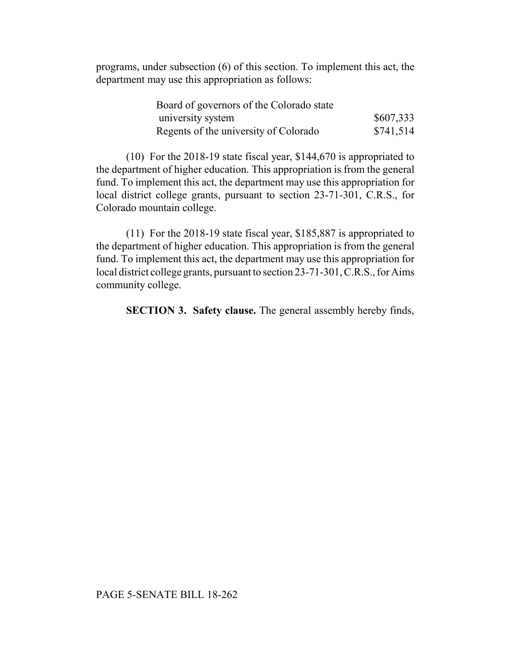programs, under subsection (6) of this section. To implement this act, the department may use this appropriation as follows:

| Board of governors of the Colorado state |           |
|------------------------------------------|-----------|
| university system                        | \$607,333 |
| Regents of the university of Colorado    | \$741,514 |

(10) For the 2018-19 state fiscal year, \$144,670 is appropriated to the department of higher education. This appropriation is from the general fund. To implement this act, the department may use this appropriation for local district college grants, pursuant to section 23-71-301, C.R.S., for Colorado mountain college.

(11) For the 2018-19 state fiscal year, \$185,887 is appropriated to the department of higher education. This appropriation is from the general fund. To implement this act, the department may use this appropriation for local district college grants, pursuant to section 23-71-301, C.R.S., for Aims community college.

**SECTION 3. Safety clause.** The general assembly hereby finds,